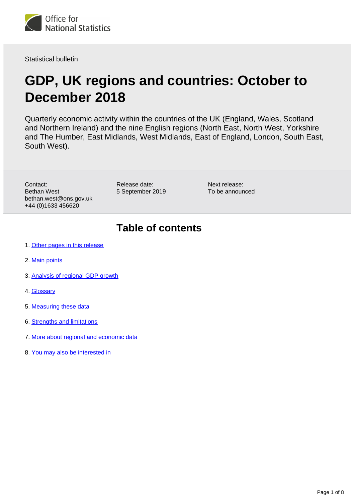

Statistical bulletin

# **GDP, UK regions and countries: October to December 2018**

Quarterly economic activity within the countries of the UK (England, Wales, Scotland and Northern Ireland) and the nine English regions (North East, North West, Yorkshire and The Humber, East Midlands, West Midlands, East of England, London, South East, South West).

Contact: Bethan West bethan.west@ons.gov.uk +44 (0)1633 456620

Release date: 5 September 2019

Next release: To be announced

## **Table of contents**

- 1. [Other pages in this release](#page-1-0)
- 2. [Main points](#page-1-1)
- 3. [Analysis of regional GDP growth](#page-2-0)
- 4. [Glossary](#page-6-0)
- 5. [Measuring these data](#page-6-1)
- 6. [Strengths and limitations](#page-6-2)
- 7. [More about regional and economic data](#page-7-0)
- 8. [You may also be interested in](#page-7-1)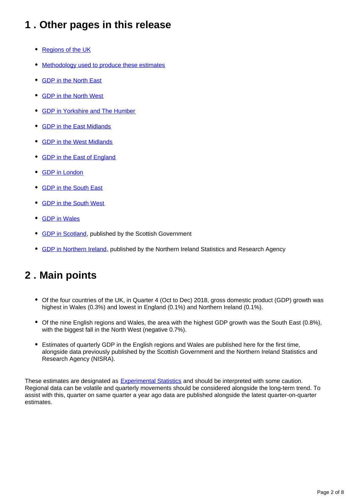## <span id="page-1-0"></span>**1 . Other pages in this release**

- [Regions of the UK](https://www.ons.gov.uk/economy/grossdomesticproductgdp/bulletins/gdpukregionsandcountries/octobertodecember2018)
- [Methodology used to produce these estimates](https://www.ons.gov.uk/economy/grossdomesticproductgdp/methodologies/introducinggdpforthecountriesoftheukandtheregionsofengland)
- [GDP in the North East](https://www.ons.gov.uk/economy/grossdomesticproductgdp/bulletins/gdpnortheast/octobertodecember2018)
- [GDP in the North West](https://publishing.ons.gov.uk/economy/grossdomesticproductgdp/bulletins/gdpnorthwest/octobertodecember2018)
- [GDP in Yorkshire and The Humber](https://www.ons.gov.uk/economy/grossdomesticproductgdp/bulletins/gdpyorkshireandthehumber/octobertodecember2018)
- [GDP in the East Midlands](https://www.ons.gov.uk/economy/grossdomesticproductgdp/bulletins/gdpeastmidlands/octobertodecember2018)
- [GDP in the West Midlands](https://www.ons.gov.uk/economy/grossdomesticproductgdp/bulletins/gdpwestmidlands/octobertodecember2018)
- [GDP in the East of England](https://www.ons.gov.uk/economy/grossdomesticproductgdp/bulletins/gdpeastofengland/octobertodecember2018)
- [GDP in London](https://www.ons.gov.uk/economy/grossdomesticproductgdp/bulletins/gdplondon/octobertodecember2018)
- [GDP in the South East](https://www.ons.gov.uk/economy/grossdomesticproductgdp/bulletins/gdpsoutheast/octobertodecember2018)
- [GDP in the South West](https://www.ons.gov.uk/economy/grossdomesticproductgdp/bulletins/gdpsouthwest/octobertodecember2018)
- [GDP in Wales](https://www.ons.gov.uk/economy/grossdomesticproductgdp/bulletins/gdpwales/octobertodecember2018)
- [GDP in Scotland](https://www2.gov.scot/Topics/Statistics/Browse/Economy/QNA2019Q1), published by the Scottish Government
- **GDP** in Northern Ireland, published by the Northern Ireland Statistics and Research Agency

### <span id="page-1-1"></span>**2 . Main points**

- Of the four countries of the UK, in Quarter 4 (Oct to Dec) 2018, gross domestic product (GDP) growth was highest in Wales (0.3%) and lowest in England (0.1%) and Northern Ireland (0.1%).
- Of the nine English regions and Wales, the area with the highest GDP growth was the South East (0.8%), with the biggest fall in the North West (negative 0.7%).
- Estimates of quarterly GDP in the English regions and Wales are published here for the first time, alongside data previously published by the Scottish Government and the Northern Ireland Statistics and Research Agency (NISRA).

These estimates are designated as **Experimental Statistics** and should be interpreted with some caution. Regional data can be volatile and quarterly movements should be considered alongside the long-term trend. To assist with this, quarter on same quarter a year ago data are published alongside the latest quarter-on-quarter estimates.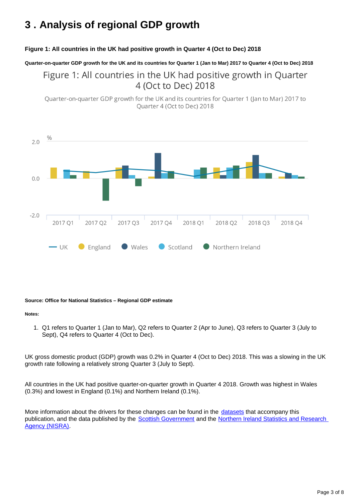## <span id="page-2-0"></span>**3 . Analysis of regional GDP growth**

#### **Figure 1: All countries in the UK had positive growth in Quarter 4 (Oct to Dec) 2018**

**Quarter-on-quarter GDP growth for the UK and its countries for Quarter 1 (Jan to Mar) 2017 to Quarter 4 (Oct to Dec) 2018**

Figure 1: All countries in the UK had positive growth in Quarter 4 (Oct to Dec) 2018

Ouarter-on-quarter GDP growth for the UK and its countries for Ouarter 1 (Jan to Mar) 2017 to Quarter 4 (Oct to Dec) 2018



#### **Source: Office for National Statistics – Regional GDP estimate**

#### **Notes:**

1. Q1 refers to Quarter 1 (Jan to Mar), Q2 refers to Quarter 2 (Apr to June), Q3 refers to Quarter 3 (July to Sept), Q4 refers to Quarter 4 (Oct to Dec).

UK gross domestic product (GDP) growth was 0.2% in Quarter 4 (Oct to Dec) 2018. This was a slowing in the UK growth rate following a relatively strong Quarter 3 (July to Sept).

All countries in the UK had positive quarter-on-quarter growth in Quarter 4 2018. Growth was highest in Wales (0.3%) and lowest in England (0.1%) and Northern Ireland (0.1%).

More information about the drivers for these changes can be found in the [datasets](https://publishing.ons.gov.uk/economy/grossdomesticproductgdp/datasets/quarterlycountryandregionalgpd) that accompany this publication, and the data published by the **[Scottish Government](https://www.gov.scot/Topics/Statistics/Browse/Economy/QNA2019Q1)** and the Northern Ireland Statistics and Research [Agency \(NISRA\).](https://www.nisra.gov.uk/statistics/economic-output-statistics/ni-composite-economic-index)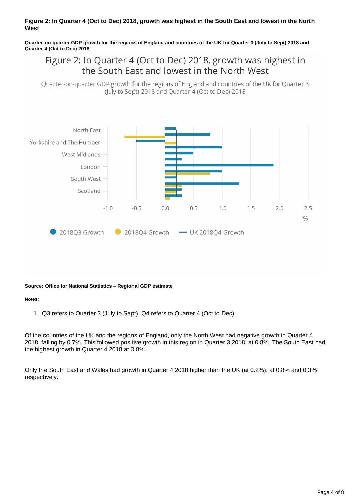#### **Figure 2: In Quarter 4 (Oct to Dec) 2018, growth was highest in the South East and lowest in the North West**

**Quarter-on-quarter GDP growth for the regions of England and countries of the UK for Quarter 3 (July to Sept) 2018 and Quarter 4 (Oct to Dec) 2018**

### Figure 2: In Quarter 4 (Oct to Dec) 2018, growth was highest in the South East and lowest in the North West

Quarter-on-quarter GDP growth for the regions of England and countries of the UK for Quarter 3 (July to Sept) 2018 and Quarter 4 (Oct to Dec) 2018



#### **Source: Office for National Statistics – Regional GDP estimate**

#### **Notes:**

1. Q3 refers to Quarter 3 (July to Sept), Q4 refers to Quarter 4 (Oct to Dec).

Of the countries of the UK and the regions of England, only the North West had negative growth in Quarter 4 2018, falling by 0.7%. This followed positive growth in this region in Quarter 3 2018, at 0.8%. The South East had the highest growth in Quarter 4 2018 at 0.8%.

Only the South East and Wales had growth in Quarter 4 2018 higher than the UK (at 0.2%), at 0.8% and 0.3% respectively.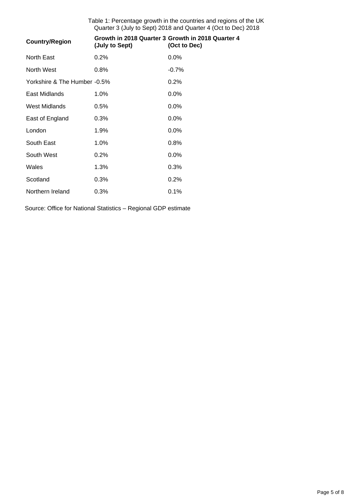Table 1: Percentage growth in the countries and regions of the UK Quarter 3 (July to Sept) 2018 and Quarter 4 (Oct to Dec) 2018

| <b>Country/Region</b>        | (July to Sept) | Growth in 2018 Quarter 3 Growth in 2018 Quarter 4<br>(Oct to Dec) |
|------------------------------|----------------|-------------------------------------------------------------------|
| North East                   | 0.2%           | $0.0\%$                                                           |
| North West                   | 0.8%           | $-0.7%$                                                           |
| Yorkshire & The Humber -0.5% |                | 0.2%                                                              |
| East Midlands                | 1.0%           | $0.0\%$                                                           |
| <b>West Midlands</b>         | 0.5%           | $0.0\%$                                                           |
| East of England              | 0.3%           | $0.0\%$                                                           |
| London                       | 1.9%           | $0.0\%$                                                           |
| South East                   | 1.0%           | 0.8%                                                              |
| South West                   | 0.2%           | $0.0\%$                                                           |
| Wales                        | 1.3%           | 0.3%                                                              |
| Scotland                     | 0.3%           | 0.2%                                                              |
| Northern Ireland             | 0.3%           | 0.1%                                                              |

Source: Office for National Statistics – Regional GDP estimate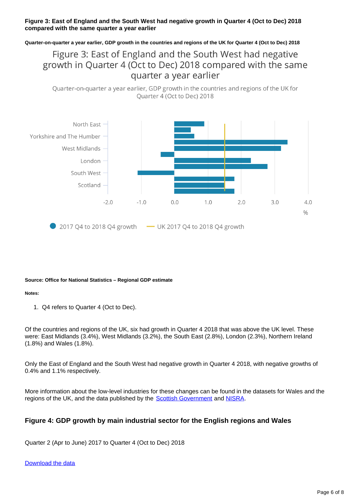#### **Figure 3: East of England and the South West had negative growth in Quarter 4 (Oct to Dec) 2018 compared with the same quarter a year earlier**

**Quarter-on-quarter a year earlier, GDP growth in the countries and regions of the UK for Quarter 4 (Oct to Dec) 2018**

### Figure 3: East of England and the South West had negative growth in Quarter 4 (Oct to Dec) 2018 compared with the same quarter a year earlier

Quarter-on-quarter a year earlier, GDP growth in the countries and regions of the UK for Quarter 4 (Oct to Dec) 2018



#### **Source: Office for National Statistics – Regional GDP estimate**

#### **Notes:**

1. Q4 refers to Quarter 4 (Oct to Dec).

Of the countries and regions of the UK, six had growth in Quarter 4 2018 that was above the UK level. These were: East Midlands (3.4%), West Midlands (3.2%), the South East (2.8%), London (2.3%), Northern Ireland (1.8%) and Wales (1.8%).

Only the East of England and the South West had negative growth in Quarter 4 2018, with negative growths of 0.4% and 1.1% respectively.

More information about the low-level industries for these changes can be found in the datasets for Wales and the regions of the UK, and the data published by the **[Scottish Government](https://www.gov.scot/Topics/Statistics/Browse/Economy/QNA2019Q1)** and [NISRA.](https://www.nisra.gov.uk/statistics/economic-output-statistics/ni-composite-economic-index)

#### **Figure 4: GDP growth by main industrial sector for the English regions and Wales**

Quarter 2 (Apr to June) 2017 to Quarter 4 (Oct to Dec) 2018

#### [Download the data](http:///visualisations/dvc650/data.xls)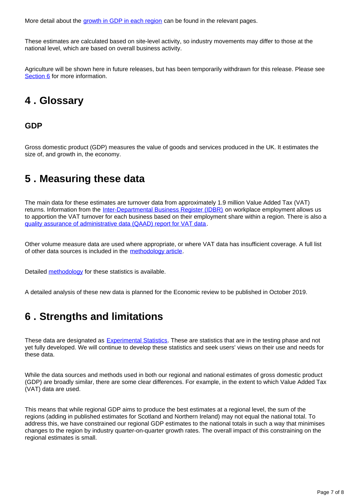More detail about the [growth in GDP in each region](https://www.ons.gov.uk/economy/grossdomesticproductgdp/bulletins/gdpukregionsandcountries/octobertodecember2018#other-pages-in-this-release) can be found in the relevant pages.

These estimates are calculated based on site-level activity, so industry movements may differ to those at the national level, which are based on overall business activity.

Agriculture will be shown here in future releases, but has been temporarily withdrawn for this release. Please see [Section 6](https://www.ons.gov.uk/economy/grossdomesticproductgdp/bulletins/gdpukregionsandcountries/octobertodecember2018#strengths-and-limitations) for more information.

### <span id="page-6-0"></span>**4 . Glossary**

### **GDP**

Gross domestic product (GDP) measures the value of goods and services produced in the UK. It estimates the size of, and growth in, the economy.

### <span id="page-6-1"></span>**5 . Measuring these data**

The main data for these estimates are turnover data from approximately 1.9 million Value Added Tax (VAT) returns. Information from the [Inter-Departmental Business Register \(IDBR\)](https://www.ons.gov.uk/aboutus/whatwedo/paidservices/interdepartmentalbusinessregisteridbr) on workplace employment allows us to apportion the VAT turnover for each business based on their employment share within a region. There is also a [quality assurance of administrative data \(QAAD\) report for VAT data.](https://www.ons.gov.uk/economy/economicoutputandproductivity/output/methodologies/qualityassuranceofadministrativedataqaadreportforvalueaddedtaxturnoverdata)

Other volume measure data are used where appropriate, or where VAT data has insufficient coverage. A full list of other data sources is included in the [methodology article](http://www.ons.gov.uk/economy/grossdomesticproductgdp/methodologies/introducinggdpforthecountriesoftheukandtheregionsofengland).

Detailed [methodology](http://www.ons.gov.uk/economy/grossdomesticproductgdp/methodologies/introducinggdpforthecountriesoftheukandtheregionsofengland) for these statistics is available.

A detailed analysis of these new data is planned for the Economic review to be published in October 2019.

### <span id="page-6-2"></span>**6 . Strengths and limitations**

These data are designated as [Experimental Statistics](https://www.ons.gov.uk/methodology/methodologytopicsandstatisticalconcepts/guidetoexperimentalstatistics). These are statistics that are in the testing phase and not yet fully developed. We will continue to develop these statistics and seek users' views on their use and needs for these data.

While the data sources and methods used in both our regional and national estimates of gross domestic product (GDP) are broadly similar, there are some clear differences. For example, in the extent to which Value Added Tax (VAT) data are used.

This means that while regional GDP aims to produce the best estimates at a regional level, the sum of the regions (adding in published estimates for Scotland and Northern Ireland) may not equal the national total. To address this, we have constrained our regional GDP estimates to the national totals in such a way that minimises changes to the region by industry quarter-on-quarter growth rates. The overall impact of this constraining on the regional estimates is small.